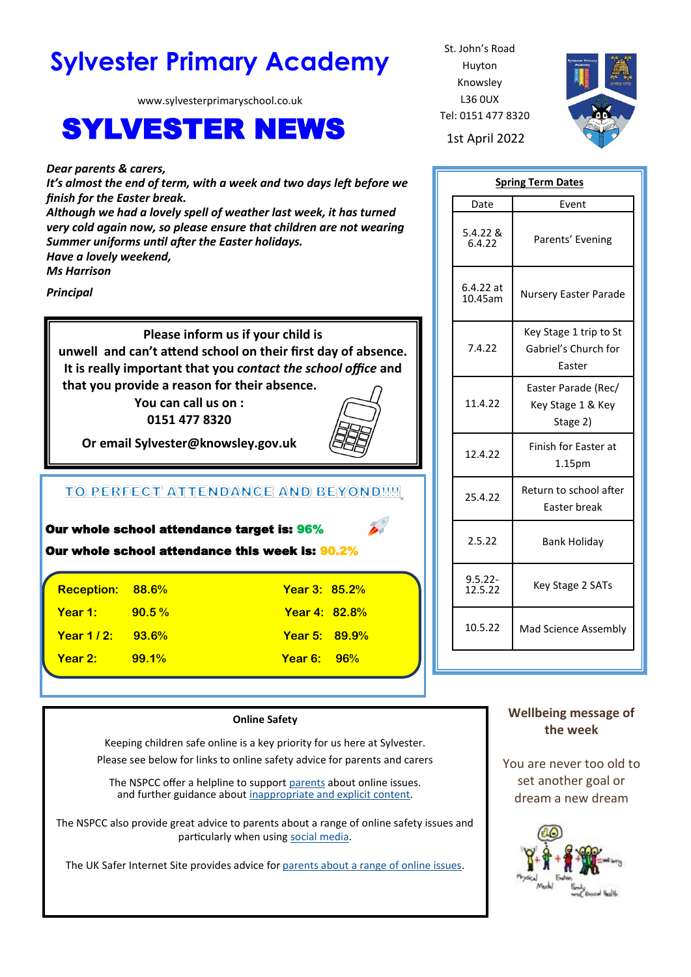# **Sylvester Primary Academy** St. John's Road

www.sylvesterprimaryschool.co.uk

## **SYLVESTER NEWS** 1st April 2022

*Dear parents & carers,* 

*It's almost the end of term, with a week and two days left before we finish for the Easter break.* 

*Although we had a lovely spell of weather last week, it has turned very cold again now, so please ensure that children are not wearing Summer uniforms until after the Easter holidays. Have a lovely weekend,*

*Ms Harrison*

*Principal*

**Please inform us if your child is unwell and can't attend school on their first day of absence. It is really important that you** *contact the school office* **and that you provide a reason for their absence.**

> **You can call us on : 0151 477 8320**



**Or email Sylvester@knowsley.gov.uk**

## TO PERFECT ATTENDANCE AND BEYOND !!!!

|                         | Our whole school attendance target is: 96%<br>D<br>Our whole school attendance this week is: 90.2% |                      |  |  |
|-------------------------|----------------------------------------------------------------------------------------------------|----------------------|--|--|
| <b>Reception: 88.6%</b> |                                                                                                    | <b>Year 3: 85.2%</b> |  |  |

**Year 1:** 90.5 % And 1: 10 Year 4: 82.8 % **Year 1 / 2: 93.6% Year 5: 89.9% Year 2: 99.1% Year 6: 96%**

#### **Online Safety**

Keeping children safe online is a key priority for us here at Sylvester. Please see below for links to online safety advice for parents and carers

The NSPCC offer a helpline to support [parents](https://www.nspcc.org.uk/keeping-children-safe/online-safety/#report) about online issues. and further guidance about [inappropriate and explicit content.](https://www.nspcc.org.uk/keeping-children-safe/online-safety/inappropriate-explicit-content/)

The NSPCC also provide great advice to parents about a range of online safety issues and particularly when using [social media.](https://www.nspcc.org.uk/keeping-children-safe/online-safety/social-media/)

The UK Safer Internet Site provides advice for [parents about a range of online issues.](https://saferinternet.org.uk/online-issue)

Huyton Knowsley L36 0UX Tel: 0151 477 8320



| <b>Spring Term Dates</b> |                                                          |  |  |
|--------------------------|----------------------------------------------------------|--|--|
| Date                     | Event                                                    |  |  |
| 5.4.22 &<br>6.4.22       | Parents' Evening                                         |  |  |
| $6.4.22$ at<br>10.45am   | <b>Nursery Easter Parade</b>                             |  |  |
| 7.4.22                   | Key Stage 1 trip to St<br>Gabriel's Church for<br>Easter |  |  |
| 11.4.22                  | Easter Parade (Rec/<br>Key Stage 1 & Key<br>Stage 2)     |  |  |
| 12.4.22                  | Finish for Easter at<br>1.15pm                           |  |  |
| 25.4.22                  | Return to school after<br>Easter break                   |  |  |
| 2.5.22                   | <b>Bank Holiday</b>                                      |  |  |
| $9.5.22 -$<br>12.5.22    | Key Stage 2 SATs                                         |  |  |
| 10.5.22                  | Mad Science Assembly                                     |  |  |

## **Wellbeing message of the week**

You are never too old to set another goal or dream a new dream